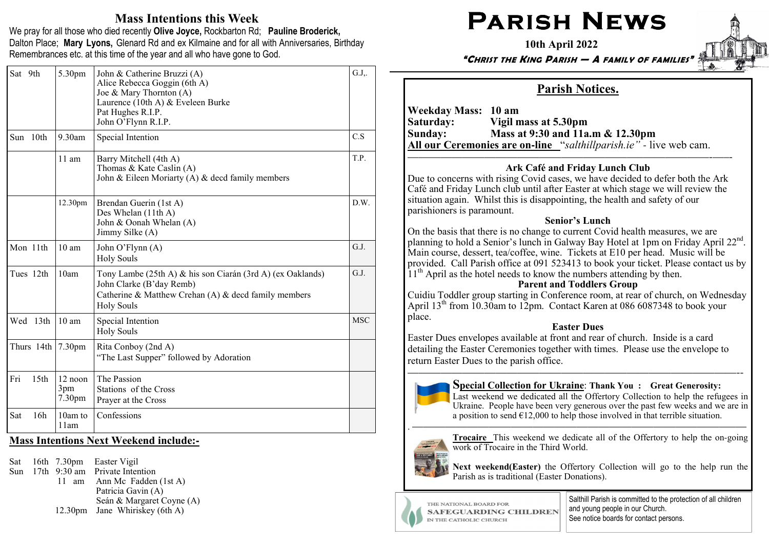# Mass Intentions this Week

We pray for all those who died recently Olive Joyce, Rockbarton Rd; Pauline Broderick, Dalton Place; Mary Lyons, Glenard Rd and ex Kilmaine and for all with Anniversaries, Birthday Remembrances etc. at this time of the year and all who have gone to God.

| Sat 9th |                  | 5.30pm                                 | John & Catherine Bruzzi (A)<br>Alice Rebecca Goggin (6th A)<br>Joe & Mary Thornton $(A)$<br>Laurence (10th A) & Eveleen Burke<br>Pat Hughes R.I.P.<br>John O'Flynn R.I.P. | G.J.,      |
|---------|------------------|----------------------------------------|---------------------------------------------------------------------------------------------------------------------------------------------------------------------------|------------|
|         | Sun 10th         | $9.30$ am                              | Special Intention                                                                                                                                                         | C.S        |
|         |                  | $11 \text{ am}$                        | Barry Mitchell (4th A)<br>Thomas & Kate Caslin (A)<br>John & Eileen Moriarty (A) $\&$ decd family members                                                                 | T.P.       |
|         |                  | 12.30pm                                | Brendan Guerin (1st A)<br>Des Whelan (11th A)<br>John & Oonah Whelan (A)<br>Jimmy Silke (A)                                                                               | D.W.       |
|         | Mon 11th         | 10 <sub>am</sub>                       | John O'Flynn (A)<br><b>Holy Souls</b>                                                                                                                                     | G.J.       |
|         | Tues 12th        | 10am                                   | Tony Lambe (25th A) & his son Ciarán (3rd A) (ex Oaklands)<br>John Clarke (B'day Remb)<br>Catherine & Matthew Crehan (A) & decd family members<br><b>Holy Souls</b>       | G.J.       |
|         | Wed 13th         | $10 \text{ am}$                        | Special Intention<br><b>Holy Souls</b>                                                                                                                                    | <b>MSC</b> |
|         | Thurs 14th       | 7.30 <sub>pm</sub>                     | Rita Conboy (2nd A)<br>"The Last Supper" followed by Adoration                                                                                                            |            |
| Fri     | 15 <sub>th</sub> | $12$ noon<br>3pm<br>7.30 <sub>pm</sub> | The Passion<br>Stations of the Cross<br>Prayer at the Cross                                                                                                               |            |
| Sat     | 16h              | 10am to<br>11am                        | Confessions                                                                                                                                                               |            |

#### Mass Intentions Next Weekend include:**-**

Sat 16th 7.30pm Easter Vigil

 Sun 17th 9:30 am Private Intention 11 am Ann Mc Fadden (1st A) Patricia Gavin (A) Seán & Margaret Coyne (A) 12.30pm Jane Whiriskey (6th A)

# $\mathsf{PARISH}\ \mathsf{N}\mathsf{EWS}$

10th April 2022

"CHRIST THE KING PARISH — A FAMILY OF FAMILIES"

## Parish Notices.

Weekday Mass: 10 am Saturday: Vigil mass at 5.30pm Sunday: Mass at 9:30 and 11a.m & 12.30pm All our Ceremonies are on**-**line "salthillparish.ie" *-* live web cam.

#### —————————————————————–——————-—–- Ark Café and Friday Lunch Club

 Due to concerns with rising Covid cases, we have decided to defer both the Ark Café and Friday Lunch club until after Easter at which stage we will review the situation again. Whilst this is disappointing, the health and safety of our parishioners is paramount.

#### Senior's Lunch

 On the basis that there is no change to current Covid health measures, we are planning to hold a Senior's lunch in Galway Bay Hotel at 1pm on Friday April 22<sup>nd</sup>. Main course, dessert, tea/coffee, wine. Tickets at E10 per head. Music will be provided. Call Parish office at 091 523413 to book your ticket. Please contact us by  $11<sup>th</sup>$  April as the hotel needs to know the numbers attending by then.

#### Parent and Toddlers Group

 Cuidiu Toddler group starting in Conference room, at rear of church, on WednesdayApril 13<sup>th</sup> from 10.30am to 12pm. Contact Karen at 086 6087348 to book your place.

### Easter Dues

 Easter Dues envelopes available at front and rear of church. Inside is a card detailing the Easter Ceremonies together with times. Please use the envelope to return Easter Dues to the parish office.

——————————————————————————————--

. —————————————————————————————–—



#### Special Collection for Ukraine: Thank You : Great Generosity:

 Last weekend we dedicated all the Offertory Collection to help the refugees in Ukraine. People have been very generous over the past few weeks and we are in a position to send  $E12,000$  to help those involved in that terrible situation.



Trocaire This weekend we dedicate all of the Offertory to help the on-going work of Trocaire in the Third World.

Next weekend(Easter) the Offertory Collection will go to the help run the Parish as is traditional (Easter Donations).

THE NATIONAL BOARD FOR **SAFEGUARDING CHILDREN** IN THE CATHOLIC CHURCH

Salthill Parish is committed to the protection of all children and young people in our Church. See notice boards for contact persons.